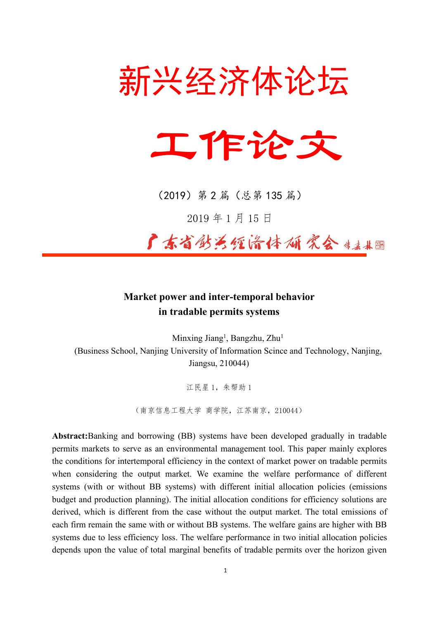



(2019)第 2 篇(总第 135 篇)

2019 年 1 月 15 日

广东省纺泛领济体研究会 ###

# **Market power and inter-temporal behavior in tradable permits systems**

Minxing Jiang 1 , Bangzhu, Zhu 1 (Business School, Nanjing University of Information Scince and Technology, Nanjing, Jiangsu, 210044)

江民星 1,朱帮助 1

(南京信息工程大学 商学院,江苏南京,210044)

**Abstract:**Banking and borrowing (BB) systems have been developed gradually in tradable permits markets to serve as an environmental management tool. This paper mainly explores the conditions for intertemporal efficiency in the context of market power on tradable permits when considering the output market. We examine the welfare performance of different systems (with or without BB systems) with different initial allocation policies (emissions budget and production planning). The initial allocation conditions for efficiency solutions are derived, which is different from the case without the output market. The total emissions of each firm remain the same with or without BB systems. The welfare gains are higher with BB systems due to less efficiency loss. The welfare performance in two initial allocation policies depends upon the value of total marginal benefits of tradable permits over the horizon given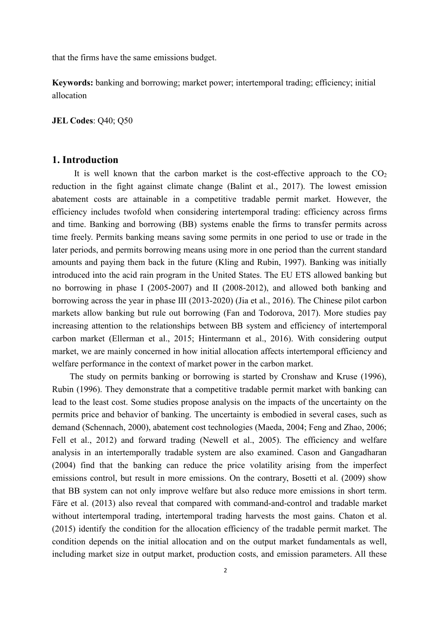that the firms have the same emissions budget.

**Keywords:** banking and borrowing; market power; intertemporal trading; efficiency; initial allocation

**JEL Codes**: Q40; Q50

## **1. Introduction**

It is well known that the carbon market is the cost-effective approach to the  $CO<sub>2</sub>$ reduction in the fight against climate change (Balint et al., 2017). The lowest emission abatement costs are attainable in a competitive tradable permit market. However, the efficiency includes twofold when considering intertemporal trading: efficiency across firms and time. Banking and borrowing (BB) systems enable the firms to transfer permits across time freely. Permits banking means saving some permits in one period to use or trade in the later periods, and permits borrowing means using more in one period than the current standard amounts and paying them back in the future (Kling and Rubin, 1997). Banking was initially introduced into the acid rain program in the United States. The EU ETS allowed banking but no borrowing in phase I (2005-2007) and II (2008-2012), and allowed both banking and borrowing across the year in phase III (2013-2020) (Jia et al., 2016). The Chinese pilot carbon markets allow banking but rule out borrowing (Fan and Todorova, 2017). More studies pay increasing attention to the relationships between BB system and efficiency of intertemporal carbon market (Ellerman et al., 2015; Hintermann et al., 2016). With considering output market, we are mainly concerned in how initial allocation affects intertemporal efficiency and welfare performance in the context of market power in the carbon market.

The study on permits banking or borrowing is started by Cronshaw and Kruse (1996), Rubin (1996). They demonstrate that a competitive tradable permit market with banking can lead to the least cost. Some studies propose analysis on the impacts of the uncertainty on the permits price and behavior of banking. The uncertainty is embodied in severalcases, such as demand (Schennach, 2000), abatement cost technologies (Maeda, 2004; Feng and Zhao, 2006; Fell et al., 2012) and forward trading (Newell et al., 2005). The efficiency and welfare analysis in an intertemporally tradable system are also examined. Cason and Gangadharan (2004) find that the banking can reduce the price volatility arising from the imperfect emissions control, but result in more emissions. On the contrary, Bosetti et al. (2009) show that BB system can not only improve welfare but also reduce more emissions in short term.Färe et al. (2013) also reveal that compared with command-and-control and tradable market without intertemporal trading, intertemporal trading harvests the most gains. Chaton et al. (2015) identify the condition for the allocation efficiency of the tradable permit market. The condition depends on the initial allocation and on the output market fundamentals as well, including market size in output market, production costs, and emission parameters. All these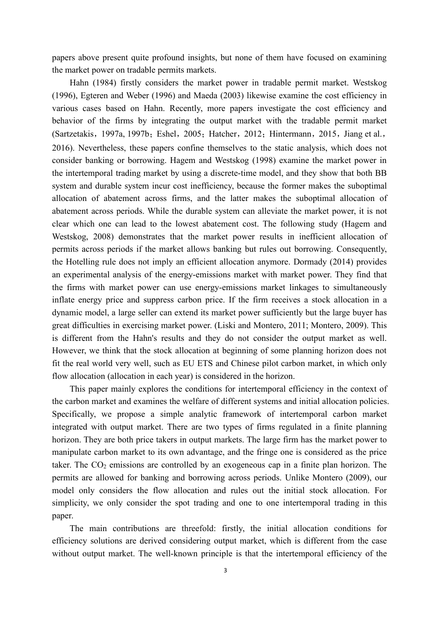papers above present quite profound insights, but none of them have focused on examining the market power on tradable permits markets.

Hahn (1984) firstly considers the market power in tradable permit market. Westskog (1996), Egteren and Weber (1996) and Maeda (2003) likewise examine the cost efficiency in various cases based on Hahn. Recently, more papers investigate the cost efficiency and behavior of the firms by integrating the output market with the tradable permit market (Sartzetakis, 1997a, 1997b; Eshel, 2005; Hatcher, 2012; Hintermann, 2015, Jiang et al., 2016). Nevertheless, these papers confine themselves to the static analysis, which does not consider banking or borrowing. Hagem and Westskog (1998) examine the market power in the intertemporal trading market by using a discrete-time model, and they show that both BB system and durable system incur cost inefficiency, because the former makes the suboptimal allocation of abatement across firms, and the latter makes the suboptimal allocation of abatement across periods. While the durable system can alleviate the market power, it is not clear which one can lead to the lowest abatement cost. The following study (Hagem and Westskog, 2008) demonstrates that the market power results in inefficient allocation of permits across periods if the market allows banking but rules out borrowing. Consequently, the Hotelling rule does not imply an efficient allocation anymore. Dormady (2014) provides an experimental analysis of the energy-emissions market with market power. They find that the firms with market power can use energy-emissions market linkages to simultaneously inflate energy price and suppress carbon price. If the firm receives a stock allocation in a dynamic model, a large seller can extend its market power sufficiently but the large buyer has great difficulties in exercising market power. (Liski and Montero, 2011; Montero, 2009). This is different from the Hahn's results and they do not consider the output market as well. However, we think that the stock allocation at beginning of some planning horizon does not fit the real world very well, such as EU ETS and Chinese pilot carbon market, in which only flow allocation (allocation in each year) is considered in the horizon.

This paper mainly explores the conditions for intertemporal efficiency in the context of the carbon market and examines the welfare of different systems and initial allocation policies. Specifically, we propose a simple analytic framework of intertemporal carbon market integrated with output market. There are two types of firms regulated in a finite planning horizon. They are both price takers in output markets. The large firm has the market power to manipulate carbon market to its own advantage, and the fringe one is considered as the price taker. The  $CO<sub>2</sub>$  emissions are controlled by an exogeneous cap in a finite plan horizon. The permits are allowed for banking and borrowing across periods. Unlike Montero (2009), our model only considers the flow allocation and rules out the initial stock allocation.For simplicity, we only consider the spot trading and one to one intertemporal trading in this paper.<br>The main contributions are threefold: firstly, the initial allocation conditions for

efficiency solutions are derived considering output market, which is different from the case without output market. The well-known principle is that the intertemporal efficiency of the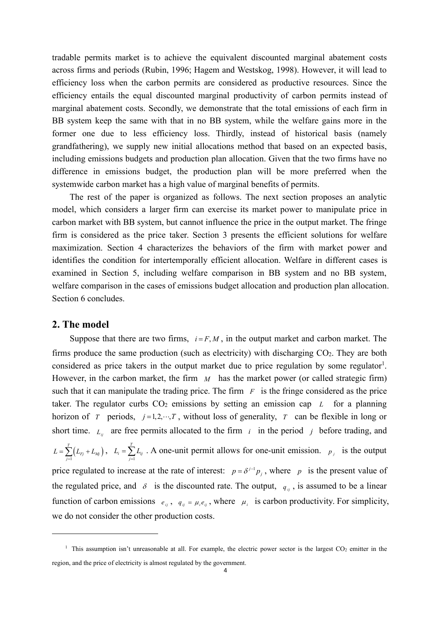tradable permits market is to achieve the equivalent discounted marginal abatement costs across firms and periods (Rubin, 1996; Hagem and Westskog, 1998). However, it will lead to efficiency loss when the carbon permits are considered as productive resources. Since the efficiency entails the equal discounted marginal productivity of carbon permits instead of marginal abatement costs. Secondly, we demonstrate that the total emissions of each firm in BB system keep the same with that in no BB system, while the welfare gains more in the former one due to less efficiency loss. Thirdly, instead of historical basis (namely grandfathering), we supply new initial allocations method that based on an expected basis, including emissions budgets and production plan allocation. Given that the two firms have no difference in emissions budget, the production plan will be more preferred when the systemwide carbon market has a high value of marginal benefits of permits.

The rest of the paper is organized as follows. The next section proposes an analytic model, which considers a larger firm can exercise its market power to manipulate price in carbon market with BB system, but cannot influence the price in the output market. The fringe firm is considered as the price taker. Section 3 presents the efficient solutions for welfare maximization. Section 4 characterizes the behaviors of the firm with market power and identifies the condition for intertemporally efficient allocation. Welfare in different cases is examined in Section 5, including welfare comparison in BB system and no BB system, welfare comparison in the cases of emissions budget allocation and production plan allocation. Section 6 concludes.

#### **2. The model**

Suppose that there are two firms,  $i = F, M$ , in the output market and carbon market. The firms produce the same production (such as electricity) with discharging  $CO<sub>2</sub>$ . They are both considered as price takers in the output market due to price regulation by some regulator [1](#page-3-0) . However, in the carbon market, the firm *M* has the market power (or called strategic firm) such that it can manipulate the trading price. The firm  $F$  is the fringe considered as the price taker. The regulator curbs  $CO<sub>2</sub>$  emissions by setting an emission cap  $L$  for a planning horizon of *T* periods,  $j=1,2,\dots,T$ , without loss of generality, *T* can be flexible in long or short time.  $L_i$  are free permits allocated to the firm *i* in the period *j* before trading, and  $\sum_{j=1}^{T} (L_{Fj} + L_{Mj})$ ,  $L_i = \sum_{j=1}^{T} L_{ij}$ . A one-unit permit all  $L = \sum_{j=1}^{T} (L_{Fj} + L_{Mj})$ ,  $L_i = \sum_{j=1}^{T} L_{ij}$ . A one-unit permit allows for one-unit emission  $L_i = \sum_{j=1}^{\infty} L_{ij}$ . A one-unit permit allows for one-unit emission.  $p_j$  is the output price regulated to increase at the rate of interest:  $p = \delta^{j-1} p_j$ , where p is the present value of the regulated price, and  $\delta$  is the discounted rate. The output,  $q_{ij}$ , is assumed to be a linear function of carbon emissions  $e_{ij}$ ,  $q_{ij} = \mu_i e_{ij}$ , where  $\mu_i$  is carbon productivity. For simplicity, we do not consider the other production costs.

<span id="page-3-0"></span><sup>&</sup>lt;sup>1</sup> This assumption isn't unreasonable at all. For example, the electric power sector is the largest  $CO<sub>2</sub>$  emitter in the region, and the price of electricity is almost regulated by the government.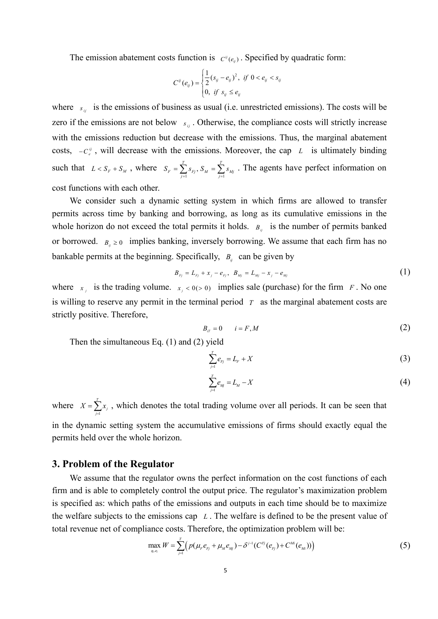The emission abatement costs function is  $C^{\mu}(e_{ij})$ . Specified by quadratic form:

$$
C^{ij}(e_{ij}) = \begin{cases} \frac{1}{2}(s_{ij} - e_{ij})^2, & \text{if } 0 < e_{ij} < s_{ij} \\ 0, & \text{if } s_{ij} \le e_{ij} \end{cases}
$$

where  $s_{ij}$  is the emissions of business as usual (i.e. unrestricted emissions). The costs will be zero if the emissions are not below  $s_{ij}$ . Otherwise, the compliance costs will strictly increase with the emissions reduction but decrease with the emissions. Thus, the marginal abatement costs,  $-C_e^y$ , will decrease with the emissions. Moreover, the cap *L* is ultimately binding such that  $L < S_F + S_M$ , where  $S_F = \sum_{j=1}^T s_{F_j}$ ,  $S_M = \sum_{j=1}^T s_{Mj}$ . The agents have per  $S_F = \sum_{j=1}^{S} s_{F_j}$ ,  $S_M = \sum_{j=1}^{S} s_{Mj}$ . The agents have perfect information on cost functions with each other.

We consider such a dynamic setting system in which firms are allowed to transfer permits across time by banking and borrowing, as long as its cumulative emissions in the whole horizon do not exceed the total permits it holds.  $B_{ij}$  is the number of permits banked or borrowed.  $B_{ij} \ge 0$  implies banking, inversely borrowing. We assume that each firm has no bankable permits at the beginning. Specifically,  $B_{ij}$  can be given by

$$
B_{F_j} = L_{F_j} + x_j - e_{F_j}, \quad B_{M_j} = L_{M_j} - x_j - e_{M_j}
$$
 (1)

where  $x_i$  is the trading volume.  $x_i < 0(>0)$  implies sale (purchase) for the firm *F*. No one is willing to reserve any permit in the terminal period *T* as the marginal abatement costs are strictly positive. Therefore,

$$
B_{i} = 0 \qquad i = F, M \tag{2}
$$

Then the simultaneous Eq. (1) and (2) yield

$$
\sum_{j=1}^{T} e_{Fj} = L_F + X \tag{3}
$$

$$
\sum_{j=1}^{T} e_{Mj} = L_M - X \tag{4}
$$

where  $X = \sum_{j=1}^{T} x_j$ , which denotes the total trading volume over all periods. It can be seen that in the dynamic setting system the accumulative emissions of firms should exactly equal the permits held over the whole horizon.

#### **3. Problem of the Regulator**

We assume that the regulator owns the perfect information on the cost functions of each firm and is able to completely control the output price. The regulator's maximization problem is specified as: which paths of the emissions and outputs in each time should be to maximize the welfare subjects to the emissions cap  $L$ . The welfare is defined to be the present value of total revenue net of compliance costs. Therefore, the optimization problem will be:

$$
\max_{q_i, e_i} W = \sum_{j=1}^T \Big( p(\mu_i e_{F_j} + \mu_M e_{M_j}) - \delta^{j-1} (C^{F_j}(e_{F_j}) + C^{M_i}(e_{M_i})) \Big) \tag{5}
$$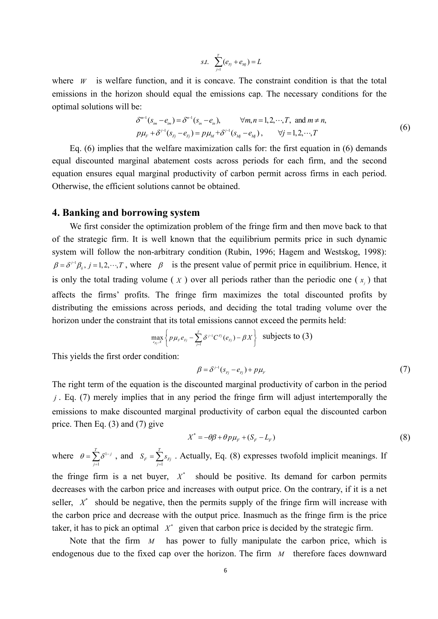$$
s.t. \quad \sum_{\scriptscriptstyle{j=1}}^{r} (e_{\scriptscriptstyle{F_j}} + e_{\scriptscriptstyle{Mj}}) = L
$$

where  $W$  is welfare function, and it is concave. The constraint condition is that the total emissions in the horizon should equal the emissions cap. The necessary conditions for the optimal solutions will be:

$$
\delta^{m-1}(s_{im} - e_{im}) = \delta^{n-1}(s_{in} - e_{in}), \qquad \forall m, n = 1, 2, \cdots, T, \text{ and } m \neq n,\n p\mu_{F} + \delta^{j-1}(s_{Fj} - e_{Fj}) = p\mu_{M} + \delta^{j-1}(s_{Mj} - e_{Mj}), \qquad \forall j = 1, 2, \cdots, T
$$
\n(6)

Eq.  $(6)$  implies that the welfare maximization calls for: the first equation in  $(6)$  demands equal discounted marginal abatement costs across periods for each firm, and the second equation ensures equal marginal productivity of carbon permit across firms in each period. Otherwise, the efficient solutions cannot be obtained.

## **4. Banking and borrowing system**

We first consider the optimization problem of the fringe firm and then move back to that of the strategic firm. It is well known that the equilibrium permits price in such dynamic system will follow the non-arbitrary condition (Rubin, 1996; Hagem and Westskog, 1998):  $\beta = \delta^{j} \beta_{ij}, j = 1, 2, \dots, T$ , where  $\beta$  is the present value of permit price in equilibrium. Hence, it is only the total trading volume ( $\overline{X}$ ) over all periods rather than the periodic one ( $\overline{x}$ ) that affects the firms' profits. The fringe firm maximizes the total discounted profits by distributing the emissions across periods, and deciding the total trading volume over the horizon under the constraint that its total emissions cannot exceed the permits held:

$$
\max_{\mathbf{e}_{Fj},X}\left\{p\mu_{\mathbf{e}}e_{Fj}-\sum_{j=1}^{T}\delta^{j-1}C^{Fj}(e_{Fj})-\beta X\right\}\text{ \ \ subjects to (3)}
$$

This yields the first order condition:

$$
\beta = \delta^{j-1}(s_{F_j} - e_{F_j}) + p\mu_F \tag{7}
$$

The right term of the equation is the discounted marginal productivity of carbon in the period *j* . Eq. (7) merely implies that in any period the fringe firm will adjust intertemporally the emissions to make discounted marginal productivity of carbon equal the discounted carbon price. Then Eq. (3) and (7) give

$$
X^* = -\theta \beta + \theta p \mu_F + (S_F - L_F) \tag{8}
$$

where  $\theta = \sum_{j=1}^{T} \delta^{1-j}$ , and  $S_F = \sum_{j=1}^{T} s_{Fj}$ *j*  $\theta = \sum_{j=1}^{T} \delta^{1-j}$ , and  $S_F = \sum_{j=1}^{T} s_{Fj}$ . Actually, Eq. (8) expresses twofold implicit 1  $S_F = \sum_{j=1}^{K} s_{Fj}$ . Actually, Eq. (8) expresses twofold implicit meanings. If the fringe firm is a net buyer,  $X^*$  should be positive. Its demand for carbon permits decreases with the carbon price and increases with output price. On the contrary, if it is a net seller,  $X^*$  should be negative, then the permits supply of the fringe firm will increase with the carbon price and decrease with the output price. Inasmuch as the fringe firm is the price taker, it has to pick an optimal  $X^*$  given that carbon price is decided by the strategic firm.

Note that the firm *M* has power to fully manipulate the carbon price, which is endogenous due to the fixed cap over the horizon. The firm *M* therefore faces downward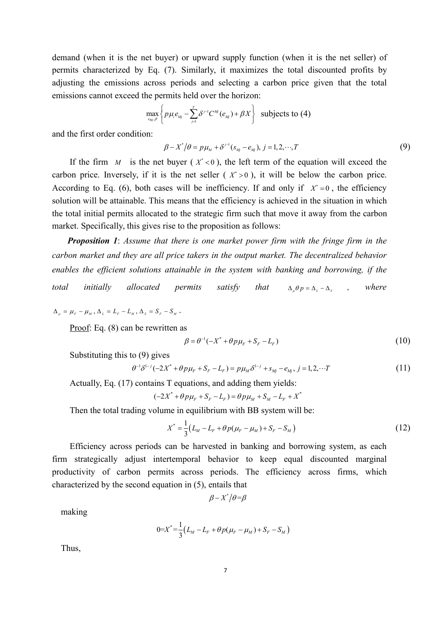demand (when it is the net buyer) or upward supply function (when it is the net seller) of permits characterized by Eq. (7). Similarly, it maximizes the total discounted profits by adjusting the emissions across periods and selecting a carbon price given that the total emissions cannot exceed the permits held over the horizon:

$$
\max_{e_{M_j}, \beta} \left\{ p \mu_i e_{M_j} - \sum_{j=1}^T \delta^{j-1} C^{M_j}(e_{M_j}) + \beta X \right\} \text{ subjects to (4)}
$$

and the first order condition:

$$
\beta - X^* / \theta = p\mu_M + \delta^{j-1}(s_{Mj} - e_{Mj}), \ j = 1, 2, \cdots, T
$$
\n(9)

If the firm *M* is the net buyer ( $X^*$  < 0), the left term of the equation will exceed the carbon price. Inversely, if it is the net seller  $(X^* > 0)$ , it will be below the carbon price. According to Eq. (6), both cases will be inefficiency. If and only if  $X^* = 0$ , the efficiency solution will be attainable. This means that the efficiency is achieved in the situation in which the total initial permits allocated to the strategic firm such that move it away from the carbon market. Specifically, this gives rise to the proposition as follows:

*Proposition 1: Assume that there is one market power firm with the fringe firm in the carbon market and they are all price takers in the output market. The decentralized behavior enables the ef icient solutions attainable in the system with banking and borrowing, if the total initially allocated permits satisfy that*  $\Delta_{\alpha} \theta p = \Delta_{\alpha} - \Delta_{\alpha}$ , *where* 

 $\Delta_{\mu} = \mu_{F} - \mu_{M}, \Delta_{L} = L_{F} - L_{M}, \Delta_{S} = S_{F} - S_{M}.$ 

Proof: Eq. (8) can be rewritten as

$$
\beta = \theta^{-1}(-X^* + \theta p \mu_F + S_F - L_F) \tag{10}
$$

Substituting this to (9) gives

$$
\theta^{-1}\delta^{1-j}(-2X^* + \theta p\mu_F + S_F - L_F) = p\mu_M\delta^{1-j} + s_{Mj} - e_{Mj}, j = 1, 2, \cdots T
$$
\n(11)

Actually, Eq. (17) contains T equations, and adding them yields:

$$
(-2X^* + \theta p \mu_F + S_F - L_F) = \theta p \mu_M + S_M - L_F + X^*
$$

Then the total trading volume in equilibrium with BB system will be:

$$
X^* = \frac{1}{3}(L_M - L_F + \theta p(\mu_F - \mu_M) + S_F - S_M)
$$
\n(12)

Efficiency across periods can be harvested in banking and borrowing system, as each firm strategically adjust intertemporal behavior to keep equal discounted marginal productivity of carbon permits across periods. The efficiency across firms, which characterized by the second equation in (5), entails that

 $\beta - X^* / \theta = \beta$ 

making

$$
0 = X^* = \frac{1}{3}(L_M - L_F + \theta p(\mu_F - \mu_M) + S_F - S_M)
$$

Thus,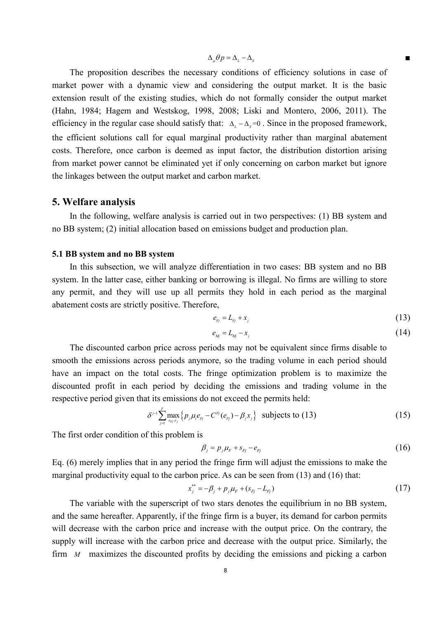$$
\Delta_{\mu} \theta p = \Delta_{\mu} - \Delta_{s}
$$

The proposition describes the necessary conditions of efficiency solutions in case of market power with a dynamic view and considering the output market. It is the basic extension result of the existing studies, which do not formally consider the output market (Hahn, 1984; Hagem and Westskog, 1998, 2008; Liski and Montero, 2006, 2011). The efficiency in the regular case should satisfy that:  $\Delta_L - \Delta_s = 0$ . Since in the proposed framework, the efficient solutions call for equal marginal productivity rather than marginal abatement costs. Therefore, once carbon is deemed as input factor, the distribution distortion arising from market power cannot be eliminated yet if only concerning on carbon market but ignore the linkages between the output market and carbon market.

#### **5. Welfare analysis**

In the following, welfare analysis is carried out in two perspectives: (1) BB system and no BB system; (2) initial allocation based on emissions budget and production plan.

## **5.1 BB system and no BB system**

In this subsection, we will analyze differentiation in two cases: BB system and no BB system. In the latter case, either banking or borrowing is illegal. No firms are willing to store any permit, and they will use up all permits they hold in each period as the marginal abatement costs are strictly positive. Therefore,

$$
e_{F_j} = L_{F_j} + x_j \tag{13}
$$

$$
e_{_{Mj}} = L_{_{Mj}} - x_{_{j}} \tag{14}
$$

The discounted carbon price across periods may not be equivalent since firms disable to smooth the emissions across periods anymore, so the trading volume in each period should have an impact on the total costs. The fringe optimization problem is to maximize the discounted profit in each period by deciding the emissions and trading volume in the respective period given that its emissions do not exceed the permits held:

$$
\delta^{j-1} \sum_{j=1}^T \max_{e_{F_j}, x_j} \left\{ p_j \mu_i e_{F_j} - C^{F_j}(e_{F_j}) - \beta_j x_j \right\} \text{ subjects to (13)}
$$
 (15)

The first order condition of this problem is

$$
\beta_j = p_j \mu_F + s_{Fj} - e_{Fj} \tag{16}
$$

Eq. (6) merely implies that in any period the fringe firm will adjust the emissions to make the marginal productivity equal to the carbon price. As can be seen from (13) and (16) that:

$$
x_j^{**} = -\beta_j + p_j \mu_F + (s_{Fj} - L_{Fj})
$$
\n(17)

The variable with the superscript of two stars denotes the equilibrium in no BB system, and the same hereafter. Apparently, if the fringe firm is a buyer, its demand for carbon permits will decrease with the carbon price and increase with the output price. On the contrary, the supply will increase with the carbon price and decrease with the output price. Similarly, the firm *M* maximizes the discounted profits by deciding the emissions and picking a carbon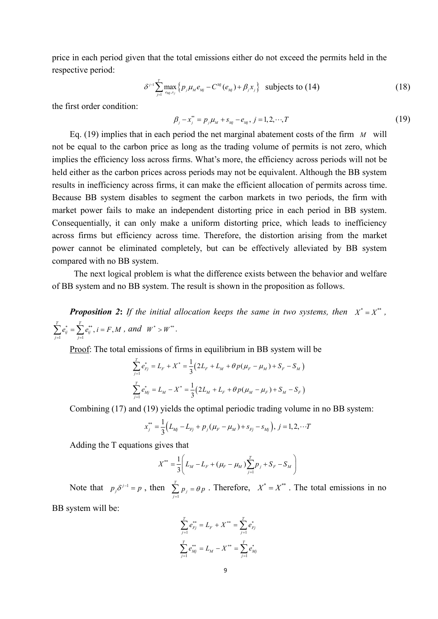price in each period given that the total emissions either do not exceed the permits held in the respective period:

$$
\delta^{j-1} \sum_{j=1}^T \max_{e_{M_j}, x_j} \left\{ p_j \mu_M e_{M_j} - C^{M_j}(e_{M_j}) + \beta_j x_j \right\} \text{ subjects to (14)} \tag{18}
$$

the first order condition:

$$
\beta_j - x_j^* = p_j \mu_M + s_{Mj} - e_{Mj}, \ j = 1, 2, \cdots, T
$$
\n(19)

Eq. (19) implies that in each period the net marginal abatement costs of the firm *M* will not be equal to the carbon price as long as the trading volume of permits is not zero, which implies the efficiency loss across firms. What's more, the efficiency across periods will not be held either as the carbon prices across periods may not be equivalent. Although the BB system results in inefficiency across firms, it can make the efficient allocation of permits across time. Because BB system disables to segment the carbon markets in two periods, the firm with market power fails to make an independent distorting price in each period in BB system. Consequentially, it can only make a uniform distorting price, which leads to inefficiency across firms but efficiency across time. Therefore, the distortion arising from the market power cannot be eliminated completely, but can be effectively alleviated by BB system compared with no BB system.

The next logical problem is what the difference exists between the behavior and welfare of BB system and no BB system. The result is shown in the proposition as follows.

*Proposition 2: If the initial allocation keeps the same in two systems, then* $X^* = X^{**}$ **,**  $^*$   $\sum$   $^{**}$   $i = E$  M and  $W^*$  $1 \qquad j=1$  $\sum_{j=1}^{T} e_{ij}^{*} = \sum_{j=1}^{T} e_{ij}^{**}$ ,  $i = F, M$ , and  $W^{*} > W$  $\sum_{j=1}^{n} e_{ij}^{*} = \sum_{j=1}^{n} e_{ij}^{**}, i = F, M$ , and  $W^{*} > W^{**}$ .

Proof: The total emissions of firms in equilibrium in BB system will be

$$
\begin{aligned} &\sum_{j=1}^T e_{Fj}^* = L_F + X^* = \frac{1}{3}\big(2L_F + L_M + \theta\,p(\mu_F - \mu_M) + S_F - S_M\,\big) \\ &\sum_{j=1}^T e_{Mj}^* = L_M - X^* = \frac{1}{3}\big(2L_M + L_F + \theta\,p(\mu_M - \mu_F) + S_M - S_F\,\big) \end{aligned}
$$

Combining (17) and (19) yields the optimal periodic trading volume in no BB system:

$$
x_j^{**} = \frac{1}{3} \Big( L_{Mj} - L_{Fj} + p_j \big( \mu_F - \mu_M \big) + s_{Fj} - s_{Mj} \Big), \ j = 1, 2, \cdots T
$$

Adding the T equations gives that

$$
X^{**} = \frac{1}{3} \left( L_M - L_F + (\mu_F - \mu_M) \sum_{j=1}^T p_j + S_F - S_M \right)
$$

Note that  $p_j \delta^{j-1} = p$ , then  $\sum_{j=1}^T p_j = \theta p$ . Therefore, 2  $\sum_{j=1}^{n} p_j = \theta p$ . Therefore,  $X^* = X^{**}$ . The total emissions in no

BB system will be:

$$
\sum_{j=1}^{T} e_{Fj}^{**} = L_F + X^{**} = \sum_{j=1}^{T} e_{Fj}^{*}
$$
\n
$$
\sum_{j=1}^{T} e_{Mj}^{**} = L_M - X^{**} = \sum_{j=1}^{T} e_{Mj}^{*}
$$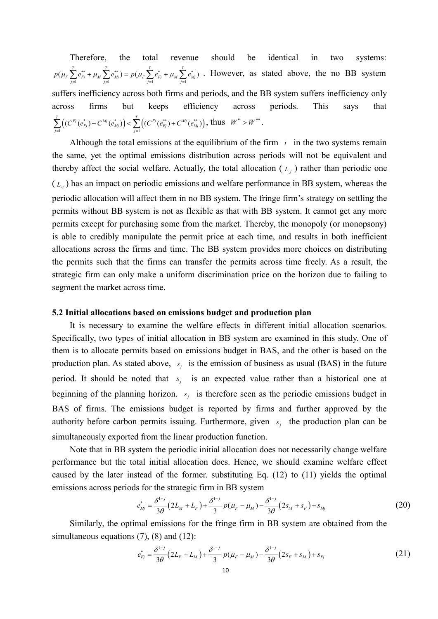Therefore, the total revenue should be identical in two systems:  $(\mu_F \sum_{j=1}^T e_{Fj}^{**} + \mu_M \sum_{j=1}^T e_{Mj}^{**}) = p(\mu_F \sum_{j=1}^T e_{Fj}^{*} + \mu_M \sum_{j=1}^T e_{Mj}^{*})$ . However, as state  $F \sum_{j=1}^{\infty} C_{Fj} + \mu_M \sum_{j=1}^{\infty} C_{Mj} = P(\mu_F \sum_{j=1}^{\infty} C_{Fj} + \mu_M \sum_{j=1}^{\infty} C_{Mj})$ . It will be seen to see that  $p(\mu_F \sum_{j=1}^k e_{F_j}^{**} + \mu_M \sum_{j=1}^k e_{M_j}^{**}) = p(\mu_F \sum_{j=1}^k e_{F_j}^* + \mu_M \sum_{j=1}^k e_{M_j}^*)$ . However, as stated above, the no BB system suffers inefficiency across both firms and periods, and the BB system suffers inefficiency only across firms but keeps efficiency across periods. This says that  $\sum_{j=1}^T \left( (C^{Fj}(\boldsymbol{e}_{Fj}^*) + C^{Mj}(\boldsymbol{e}_{Mj}^*)) \right) < \sum_{j=1}^T \left( (C^{Fj}(\boldsymbol{e}_{Fj}^{**}) + C^{Mj}(\boldsymbol{e}_{Mj}^{**}) \right) \text{, thus } \ \ W^* > W^{**} \text{.}$  $\sum_{j=1}^{\infty} \left( (C^{Fj}(e_{Fj}^*) + C^{Mj}(e_{Mj}^*)) \right) < \sum_{j=1}^{\infty} \left( (C^{Fj}(e_{Fj}^{**}) + C^{Mj}(e_{Mj}^{**}) \right)$ , thus  $W^* > W^{**}$ .

Although the total emissions at the equilibrium of the firm  $i$  in the two systems remain the same, yet the optimal emissions distribution across periods will not be equivalent and thereby affect the social welfare. Actually, the total allocation  $(L_j)$  rather than periodic one  $(L_{ij})$  has an impact on periodic emissions and welfare performance in BB system, whereas the periodic allocation will affect them in no BB system. The fringe firm's strategy on settling the permits without BB system is not as flexible as that with BB system. It cannot get any more permits except for purchasing some from the market. Thereby, the monopoly (or monopsony) is able to credibly manipulate the permit price at each time, and results in both inefficient allocations across the firms and time. The BB system provides more choices on distributing the permits such that the firms can transfer the permits across time freely. As a result, the strategic firm can only make a uniform discrimination price on the horizon due to failing to segment the market across time.

#### **5.2 Initial allocations based on emissions budget and production plan**

It is necessary to examine the welfare effects in different initial allocation scenarios. Specifically, two types of initial allocation in BB system are examined in this study. One of them is to allocate permits based on emissions budget in BAS, and the other is based on the production plan. As stated above,  $s_j$  is the emission of business as usual (BAS) in the future period. It should be noted that  $s_j$  is an expected value rather than a historical one at beginning of the planning horizon.  $s_j$  is therefore seen as the periodic emissions budget in BAS of firms. The emissions budget is reported by firms and further approved by the authority before carbon permits issuing. Furthermore, given  $s_i$  the production plan can be simultaneously exported from the linear production function.

Note that in BB system the periodic initial allocation does not necessarily change welfare performance but the total initial allocation does. Hence, we should examine welfare effect caused by the later instead of the former. substituting Eq. (12) to (11) yields the optimal emissions across periods for the strategic firm in BB system

$$
e_{Mj}^* = \frac{\delta^{1-j}}{3\theta} \left( 2L_M + L_F \right) + \frac{\delta^{1-j}}{3} p(\mu_F - \mu_M) - \frac{\delta^{1-j}}{3\theta} \left( 2s_M + s_F \right) + s_{Mj} \tag{20}
$$

Similarly, the optimal emissions for the fringe firm in BB system are obtained from the simultaneous equations (7), (8) and (12):

$$
e_{Fj}^* = \frac{\delta^{1-j}}{3\theta} \left( 2L_F + L_M \right) + \frac{\delta^{1-j}}{3} p(\mu_F - \mu_M) - \frac{\delta^{1-j}}{3\theta} \left( 2s_F + s_M \right) + s_{Fj} \tag{21}
$$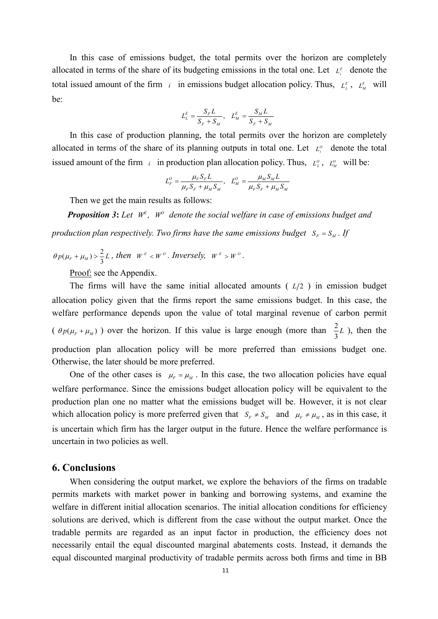In this case of emissions budget, the total permits over the horizon are completely allocated in terms of the share of its budgeting emissions in the total one. Let  $L_i^E$  denote the total issued amount of the firm  $i$  in emissions budget allocation policy. Thus,  $L_i^E$ ,  $L_M^E$  will be:

$$
L_L^E = \frac{S_F L}{S_F + S_M}, \quad L_M^E = \frac{S_M L}{S_F + S_M}
$$

In this case of production planning, the total permits over the horizon are completely allocated in terms of the share of its planning outputs in total one. Let  $L^{\circ}$  denote the total issued amount of the firm *i* in production plan allocation policy. Thus,  $L_{\mu}^o$ ,  $L_M^o$  will be:

$$
L_F^O = \frac{\mu_F S_F L}{\mu_F S_F + \mu_M S_M}, \quad L_M^O = \frac{\mu_M S_M L}{\mu_F S_F + \mu_M S_M}
$$

Then we get the main results as follows:

*Proposition* 3: Let  $W^E$ ,  $W^O$  denote the social welfare in case of emissions budget and *production plan respectively. Two firms have the same emissions budget*  $S_F = S_M$ . If

$$
\theta p(\mu_F + \mu_M) > \frac{2}{3}L
$$
, then  $W^E < W^O$ . *Inversely,*  $W^E > W^O$ .

Proof: see the Appendix.

The firms will have the same initial allocated amounts  $(L/2)$  in emission budget allocation policy given that the firms report the same emissions budget. In this case, the welfare performance depends upon the value of total marginal revenue of carbon permit  $(\theta p(\mu_F + \mu_M))$  over the horizon. If this value is large enough (more than  $\frac{2}{3}L$ ), then the  $\frac{2}{3}L$ ), then the production plan allocation policy will be more preferred than emissions budget one. Otherwise, the later should be more preferred.

One of the other cases is  $\mu_F = \mu_M$ . In this case, the two allocation policies have equal welfare performance. Since the emissions budget allocation policy will be equivalent to the production plan one no matter what the emissions budget will be. However, it is not clear which allocation policy is more preferred given that  $S_F \neq S_M$  and  $\mu_F \neq \mu_M$ , as in this case, it is uncertain which firm has the larger output in the future. Hence the welfare performance is uncertain in two policies as well.

# **6. Conclusions**

When considering the output market, we explore the behaviors of the firms on tradable permits markets with market power in banking and borrowing systems, and examine the welfare in different initial allocation scenarios. The initial allocation conditions for efficiency solutions are derived, which is different from the case without the output market. Once the tradable permits are regarded as an input factor in production, the efficiency does not necessarily entail the equal discounted marginal abatements costs.Instead, it demands the equal discounted marginal productivity of tradable permits across both firms and time in BB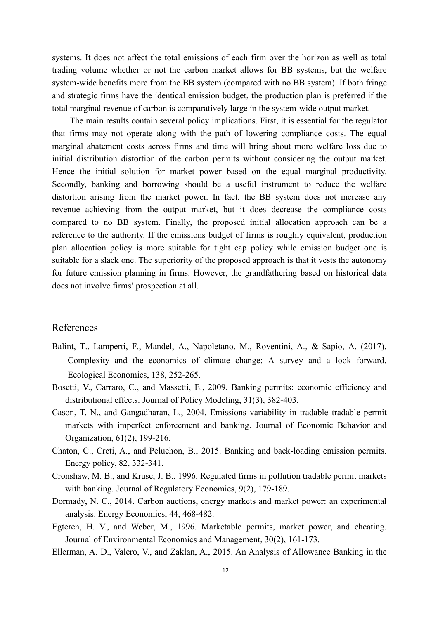systems. It does not affect the total emissions of each firm over the horizon as well as total trading volume whether or not the carbon market allows for BB systems, but the welfare system-wide benefits more from the BB system (compared with no BB system). If both fringe and strategic firms have the identical emission budget, the production plan is preferred if the total marginal revenue of carbon is comparatively large in the system-wide output market.

The main results contain several policy implications. First, it is essential for the regulator that firms may not operate along with the path of lowering compliance costs. The equal marginal abatement costs across firms and time will bring about more welfare loss due to initial distribution distortion of the carbon permits without considering the output market. Hence the initial solution for market power based on the equal marginal productivity. Secondly, banking and borrowing should be a useful instrument to reduce the welfare distortion arising from the market power. In fact, the BB system does not increase any revenue achieving from the output market, but it does decrease the compliance costs compared to no BB system. Finally, the proposed initial allocation approach can be a reference to the authority. If the emissions budget of firms is roughly equivalent, production plan allocation policy is more suitable for tight cap policy while emission budget one is suitable for a slack one. The superiority of the proposed approach is that it vests the autonomy for future emission planning in firms. However, the grandfathering based on historical data does not involve firms' prospection at all.

# References

- Balint, T., Lamperti, F., Mandel, A., Napoletano, M., Roventini, A., & Sapio, A. (2017). Complexity and the economics of climate change: A survey and a look forward. Ecological Economics, 138, 252-265.
- Bosetti, V., Carraro, C., and Massetti, E., 2009. Banking permits: economic efficiency and distributional effects. Journal of Policy Modeling, 31(3), 382-403.
- Cason, T. N., and Gangadharan, L., 2004. Emissions variability in tradable tradable permit markets with imperfect enforcement and banking. Journal of Economic Behavior and Organization, 61(2), 199-216.
- Chaton, C., Creti, A., and Peluchon, B., 2015. Banking and back-loading emission permits. Energy policy, 82, 332-341.
- Cronshaw, M. B., and Kruse, J. B., 1996. Regulated firms in pollution tradable permit markets with banking. Journal of Regulatory Economics, 9(2), 179-189.
- Dormady, N. C., 2014. Carbon auctions, energy markets and market power: an experimental analysis. Energy Economics, 44, 468-482.
- Egteren, H. V., and Weber, M., 1996. Marketable permits, market power, and cheating. Journal of Environmental Economics and Management, 30(2), 161-173.
- Ellerman, A. D., Valero, V., and Zaklan, A., 2015. An Analysis of Allowance Banking in the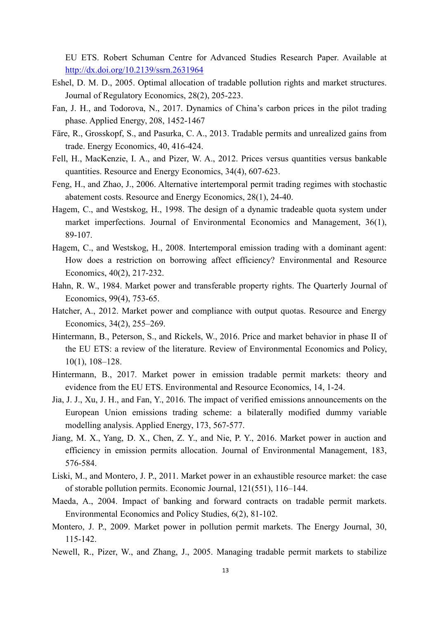EU ETS. Robert Schuman Centre for Advanced Studies Research Paper. Available at <http://dx.doi.org/10.2139/ssrn.2631964>

- Eshel, D. M. D., 2005. Optimal allocation of tradable pollution rights and market structures. Journal of Regulatory Economics, 28(2), 205-223.
- Fan, J. H., and Todorova, N., 2017. Dynamics of China's carbon prices in the pilot trading phase. Applied Energy, 208, 1452-1467
- Färe, R., Grosskopf, S., and Pasurka, C. A., 2013. Tradable permits and unrealized gains from trade. Energy Economics, 40, 416-424.
- Fell, H., MacKenzie, I. A., and Pizer, W. A., 2012. Prices versus quantities versus bankable quantities. Resource and Energy Economics, 34(4), 607-623.
- Feng, H., and Zhao, J., 2006. Alternative intertemporal permit trading regimes with stochastic abatement costs. Resource and Energy Economics, 28(1), 24-40.
- Hagem, C., and Westskog, H., 1998. The design of a dynamic tradeable quota system under market imperfections. Journal of Environmental Economics and Management, 36(1), 89-107.
- Hagem, C., and Westskog, H., 2008. Intertemporal emission trading with a dominant agent: How does a restriction on borrowing affect efficiency? Environmental and Resource Economics, 40(2), 217-232.
- Hahn, R. W., 1984. Market power and transferable property rights. The Quarterly Journal of Economics, 99(4), 753-65.
- Hatcher, A., 2012. Market power and compliance with output quotas. Resource and Energy Economics, 34(2), 255–269.
- Hintermann, B., Peterson, S., and Rickels, W., 2016. Price and market behavior in phase II of the EU ETS: a review of the literature. Review of Environmental Economics and Policy, 10(1), 108–128.
- Hintermann, B., 2017. Market power in emission tradable permit markets: theory and evidence from the EU ETS. Environmental and Resource Economics, 14, 1-24.
- Jia, J. J., Xu, J. H., and Fan, Y., 2016. The impact of verified emissions announcements on the European Union emissions trading scheme: a bilaterally modified dummy variable modelling analysis. Applied Energy, 173, 567-577.
- Jiang, M. X., Yang, D. X., Chen, Z. Y., and Nie, P. Y., 2016. Market power in auction and efficiency in emission permits allocation. Journal of Environmental Management, 183, 576-584.
- Liski, M., and Montero, J. P., 2011. Market power in an exhaustible resource market: the case of storable pollution permits. Economic Journal, 121(551), 116–144.
- Maeda, A., 2004. Impact of banking and forward contracts on tradable permit markets. Environmental Economics and Policy Studies, 6(2), 81-102.
- Montero, J. P., 2009. Market power in pollution permit markets. The Energy Journal, 30, 115-142.
- Newell, R., Pizer, W., and Zhang, J., 2005. Managing tradable permit markets to stabilize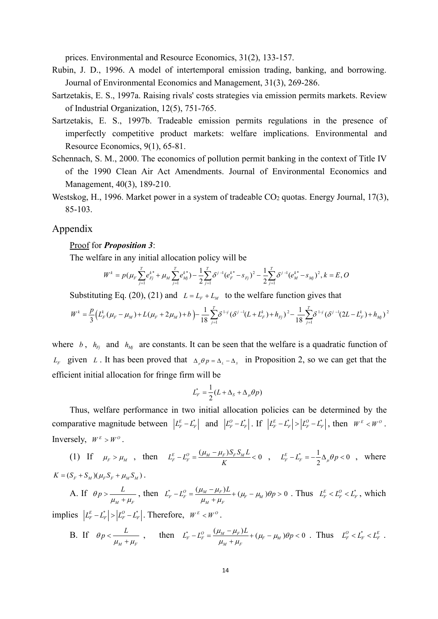prices. Environmental and Resource Economics, 31(2), 133-157.

- Rubin, J. D., 1996. A model of intertemporal emission trading, banking, and borrowing. Journal of Environmental Economics and Management, 31(3), 269-286.
- Sartzetakis, E. S., 1997a. Raising rivals' costs strategies via emission permits markets. Review of Industrial Organization, 12(5), 751-765.
- Sartzetakis, E. S., 1997b. Tradeable emission permits regulations in the presence of imperfectly competitive product markets: welfare implications. Environmental and Resource Economics, 9(1), 65-81.
- Schennach, S. M., 2000. The economics of pollution permit banking in the context of Title IV of the 1990 Clean Air Act Amendments. Journal of Environmental Economics and Management, 40(3), 189-210.
- Westskog, H., 1996. Market power in a system of tradeable  $CO<sub>2</sub>$  quotas. Energy Journal, 17(3), 85-103.

# Appendix

#### Proof for *Proposition 3*:

The welfare in any initial allocation policy will be

$$
W^k = p(\mu_F \sum_{j=1}^T e_{F_j}^{k^*} + \mu_M \sum_{j=1}^T e_{M_j}^{k^*}) - \frac{1}{2} \sum_{j=1}^T \delta^{j-1} (e_F^{k^*} - s_{F_j})^2 - \frac{1}{2} \sum_{j=1}^T \delta^{j-1} (e_M^{k^*} - s_{M_j})^2, k = E, O
$$

Substituting Eq. (20), (21) and  $L = L_F + L_M$  to the welfare function gives that

$$
W^k = \frac{p}{3} \Big( L_F^k (\mu_F - \mu_M) + L(\mu_F + 2\mu_M) + b \Big) - \frac{1}{18} \sum_{j=1}^T \delta^{1-j} (\delta^{j-1} (L + L_F^k) + h_{Fj})^2 - \frac{1}{18} \sum_{j=1}^T \delta^{1-j} (\delta^{j-1} (2L - L_F^k) + h_{Mj})^2
$$

where *b*,  $h_{Fj}$  and  $h_{Mj}$  are constants. It can be seen that the welfare is a quadratic function of *L<sub>F</sub>* given *L*. It has been proved that  $\Delta_{\mu} \theta p = \Delta_L - \Delta_s$  in Proposition 2, so we can get that the efficient initial allocation for fringe firm will be

$$
L_{F}^* = \frac{1}{2}(L + \Delta_{S} + \Delta_{\mu}\theta p)
$$

Thus, welfare performance in two initial allocation policies can be determined by the comparative magnitude between  $|L_F^E - L_F^*|$  and  $|L_F^O - L_F^*|$ . If  $|L_F^E - L_F^*| > |L_F^O - L_F^*|$ , then  $W^E < W^O$ . Inversely,  $W^E > W^O$ .

(1) If 
$$
\mu_F > \mu_M
$$
, then  $L_F^E - L_F^O = \frac{(\mu_M - \mu_F)S_F S_M L}{K} < 0$ ,  $L_F^E - L_F^* = -\frac{1}{2} \Delta_\mu \theta_P < 0$ , where

 $K = (S_F + S_M)(\mu_F S_F + \mu_M S_M).$ <br>A. If  $\rho_P > \frac{L}{\mu_M S_M}$ , then  $L_F^* - L_F^O = \frac{(\mu_M - \mu_F)L}{\mu_F S_M} + (\mu_F - \mu_F S_M)$  $\theta_P > \frac{L}{\mu_M + \mu_F}$ , then  $L_F^* - L_F^O = \frac{(\mu_M - \mu_F)L}{\mu_M + \mu_F} + (\mu_F - \mu_M)$  $>$  $\frac{L}{\mu_M + \mu_F}$ , then  $L^*_{F} - L^0_{F} = \frac{(\mu_M - \mu_F)L}{\mu_M + \mu_F} + (\mu_F - \mu_M)\theta_P > 0$ . Thus  $L^E_{F} < L^0_{F} < L^*_{F}$ , which

 $\text{implies}$   $\left| L_F^E - L_F^* \right| > \left| L_F^O - L_F^* \right|$ . Therefore,  $W^E < W^O$ .

B. If 
$$
\theta p < \frac{L}{\mu_M + \mu_F}
$$
, then  $L_F^* - L_F^0 = \frac{(\mu_M - \mu_F)L}{\mu_M + \mu_F} + (\mu_F - \mu_M)\theta p < 0$ . Thus  $L_F^0 < L_F^* < L_F^E$ .